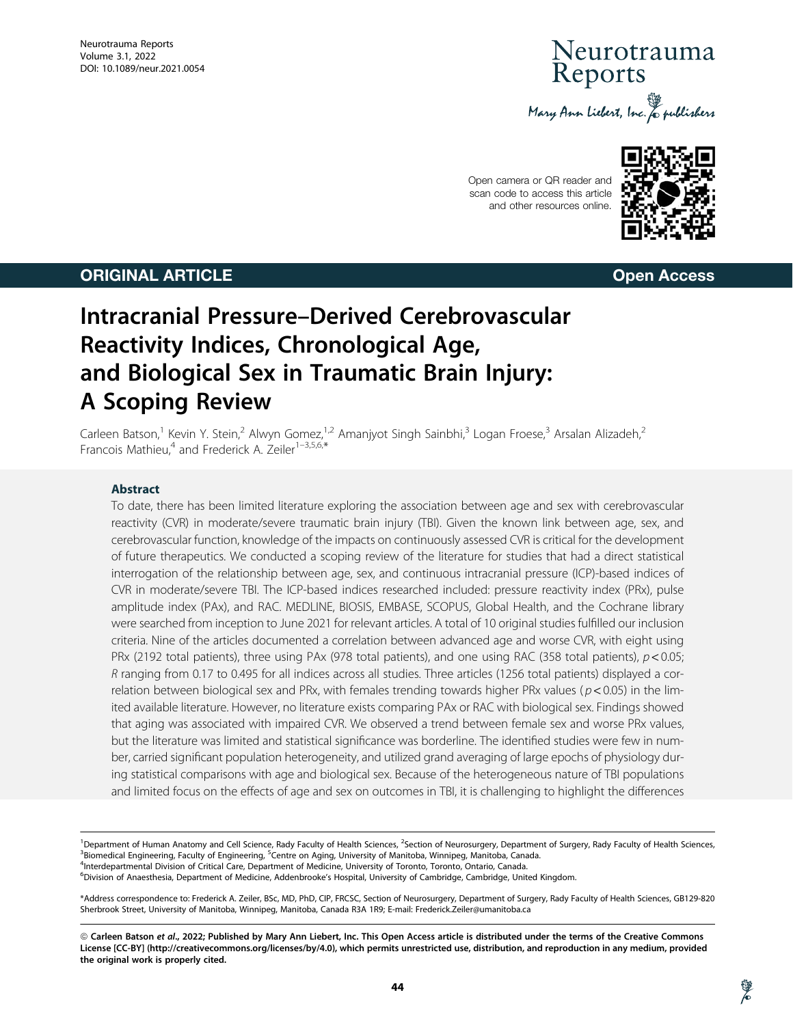# Veurotrauma Reports Mary Ann Liebert, Inc. & publishers

Open camera or QR reader and scan code to access this article and other resources online.



# **ORIGINAL ARTICLE CONSUMING ARTICLE CONSUMING ACCESS**

# Intracranial Pressure–Derived Cerebrovascular Reactivity Indices, Chronological Age, and Biological Sex in Traumatic Brain Injury: A Scoping Review

Carleen Batson,<sup>1</sup> Kevin Y. Stein,<sup>2</sup> Alwyn Gomez,<sup>1,2</sup> Amanjyot Singh Sainbhi,<sup>3</sup> Logan Froese,<sup>3</sup> Arsalan Alizadeh,<sup>2</sup> Francois Mathieu,<sup>4</sup> and Frederick A. Zeiler<sup>1-3,5,6,\*</sup>

### Abstract

To date, there has been limited literature exploring the association between age and sex with cerebrovascular reactivity (CVR) in moderate/severe traumatic brain injury (TBI). Given the known link between age, sex, and cerebrovascular function, knowledge of the impacts on continuously assessed CVR is critical for the development of future therapeutics. We conducted a scoping review of the literature for studies that had a direct statistical interrogation of the relationship between age, sex, and continuous intracranial pressure (ICP)-based indices of CVR in moderate/severe TBI. The ICP-based indices researched included: pressure reactivity index (PRx), pulse amplitude index (PAx), and RAC. MEDLINE, BIOSIS, EMBASE, SCOPUS, Global Health, and the Cochrane library were searched from inception to June 2021 for relevant articles. A total of 10 original studies fulfilled our inclusion criteria. Nine of the articles documented a correlation between advanced age and worse CVR, with eight using PRx (2192 total patients), three using PAx (978 total patients), and one using RAC (358 total patients),  $p < 0.05$ ; R ranging from 0.17 to 0.495 for all indices across all studies. Three articles (1256 total patients) displayed a correlation between biological sex and PRx, with females trending towards higher PRx values ( $p$  < 0.05) in the limited available literature. However, no literature exists comparing PAx or RAC with biological sex. Findings showed that aging was associated with impaired CVR. We observed a trend between female sex and worse PRx values, but the literature was limited and statistical significance was borderline. The identified studies were few in number, carried significant population heterogeneity, and utilized grand averaging of large epochs of physiology during statistical comparisons with age and biological sex. Because of the heterogeneous nature of TBI populations and limited focus on the effects of age and sex on outcomes in TBI, it is challenging to highlight the differences

<sup>1</sup> Department of Human Anatomy and Cell Science, Rady Faculty of Health Sciences, <sup>2</sup>Section of Neurosurgery, Department of Surgery, Rady Faculty of Health Sciences, <sup>36</sup> and 3<sup>8</sup> and 3<sup>8</sup> and 3<sup>8</sup> and 3<sup>8</sup> and 3<sup>8</sup> and 3 <sup>3</sup>Biomedical Engineering, Faculty of Engineering, <sup>5</sup>Centre on Aging, University of Manitoba, Winnipeg, Manitoba, Canada.<br><sup>4</sup>Interdepartmental Division of Critical Care, Department of Medicine, University of Toronto, Toro <sup>4</sup>Interdepartmental Division of Critical Care, Department of Medicine, University of Toronto, Toronto, Ontario, Canada.

6 Division of Anaesthesia, Department of Medicine, Addenbrooke's Hospital, University of Cambridge, Cambridge, United Kingdom.

\*Address correspondence to: Frederick A. Zeiler, BSc, MD, PhD, CIP, FRCSC, Section of Neurosurgery, Department of Surgery, Rady Faculty of Health Sciences, GB129-820 Sherbrook Street, University of Manitoba, Winnipeg, Manitoba, Canada R3A 1R9; E-mail: Frederick.Zeiler@umanitoba.ca

<sup>©</sup> Carleen Batson et al., 2022; Published by Mary Ann Liebert, Inc. This Open Access article is distributed under the terms of the Creative Commons License [CC-BY] (http://creativecommons.org/licenses/by/4.0), which permits unrestricted use, distribution, and reproduction in any medium, provided the original work is properly cited.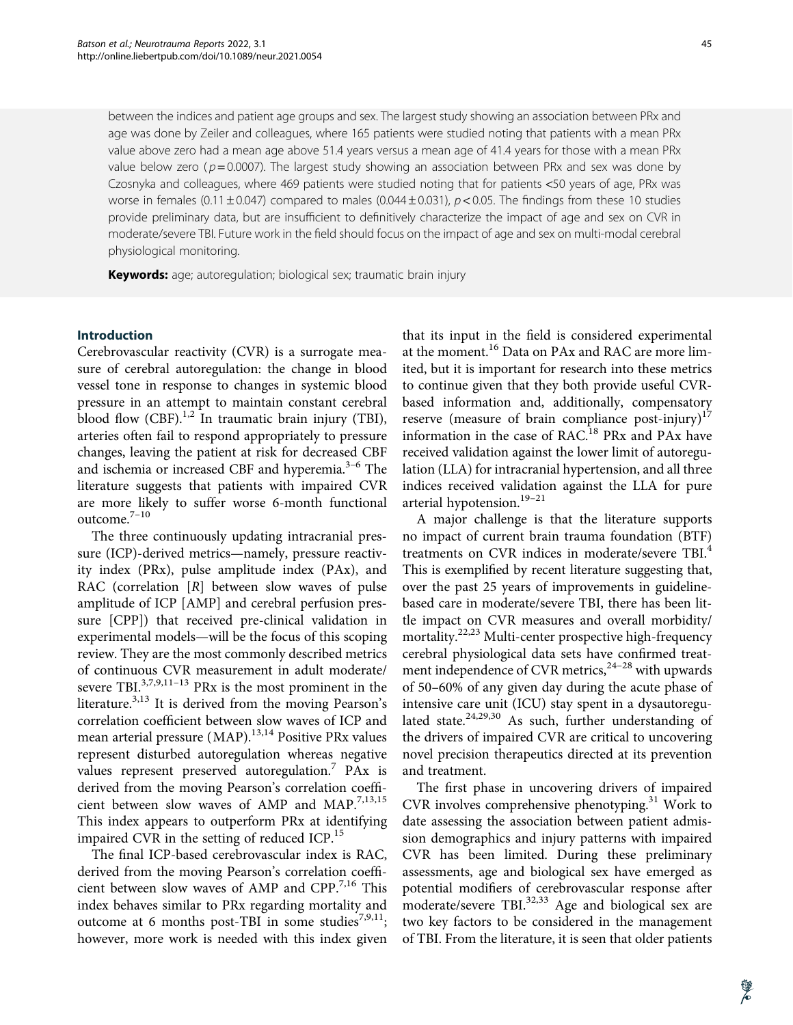between the indices and patient age groups and sex. The largest study showing an association between PRx and age was done by Zeiler and colleagues, where 165 patients were studied noting that patients with a mean PRx value above zero had a mean age above 51.4 years versus a mean age of 41.4 years for those with a mean PRx value below zero ( $p = 0.0007$ ). The largest study showing an association between PRx and sex was done by Czosnyka and colleagues, where 469 patients were studied noting that for patients <50 years of age, PRx was worse in females (0.11  $\pm$  0.047) compared to males (0.044  $\pm$  0.031), p < 0.05. The findings from these 10 studies provide preliminary data, but are insufficient to definitively characterize the impact of age and sex on CVR in moderate/severe TBI. Future work in the field should focus on the impact of age and sex on multi-modal cerebral physiological monitoring.

Keywords: age; autoregulation; biological sex; traumatic brain injury

### Introduction

Cerebrovascular reactivity (CVR) is a surrogate measure of cerebral autoregulation: the change in blood vessel tone in response to changes in systemic blood pressure in an attempt to maintain constant cerebral blood flow  $(CBF)$ .<sup>1,2</sup> In traumatic brain injury (TBI), arteries often fail to respond appropriately to pressure changes, leaving the patient at risk for decreased CBF and ischemia or increased CBF and hyperemia. $3-6$  The literature suggests that patients with impaired CVR are more likely to suffer worse 6-month functional outcome.7–10

The three continuously updating intracranial pressure (ICP)-derived metrics—namely, pressure reactivity index (PRx), pulse amplitude index (PAx), and RAC (correlation  $[R]$  between slow waves of pulse amplitude of ICP [AMP] and cerebral perfusion pressure [CPP]) that received pre-clinical validation in experimental models—will be the focus of this scoping review. They are the most commonly described metrics of continuous CVR measurement in adult moderate/ severe TBI. $^{3,7,9,11-13}$  PRx is the most prominent in the literature.<sup>3,13</sup> It is derived from the moving Pearson's correlation coefficient between slow waves of ICP and mean arterial pressure  $(MAP)$ .<sup>13,14</sup> Positive PRx values represent disturbed autoregulation whereas negative values represent preserved autoregulation.<sup>7</sup> PAx is derived from the moving Pearson's correlation coefficient between slow waves of AMP and MAP.<sup>7,13,15</sup> This index appears to outperform PRx at identifying impaired CVR in the setting of reduced ICP.<sup>15</sup>

The final ICP-based cerebrovascular index is RAC, derived from the moving Pearson's correlation coefficient between slow waves of AMP and CPP.<sup>7,16</sup> This index behaves similar to PRx regarding mortality and outcome at 6 months post-TBI in some studies<sup>7,9,11</sup>; however, more work is needed with this index given

that its input in the field is considered experimental at the moment.<sup>16</sup> Data on PAx and RAC are more limited, but it is important for research into these metrics to continue given that they both provide useful CVRbased information and, additionally, compensatory reserve (measure of brain compliance post-injury) $17$ information in the case of RAC.<sup>18</sup> PRx and PAx have received validation against the lower limit of autoregulation (LLA) for intracranial hypertension, and all three indices received validation against the LLA for pure arterial hypotension.<sup>19-21</sup>

A major challenge is that the literature supports no impact of current brain trauma foundation (BTF) treatments on CVR indices in moderate/severe TBI.<sup>4</sup> This is exemplified by recent literature suggesting that, over the past 25 years of improvements in guidelinebased care in moderate/severe TBI, there has been little impact on CVR measures and overall morbidity/ mortality.<sup>22,23</sup> Multi-center prospective high-frequency cerebral physiological data sets have confirmed treatment independence of CVR metrics,  $2^{4-28}$  with upwards of 50–60% of any given day during the acute phase of intensive care unit (ICU) stay spent in a dysautoregulated state.<sup>24,29,30</sup> As such, further understanding of the drivers of impaired CVR are critical to uncovering novel precision therapeutics directed at its prevention and treatment.

The first phase in uncovering drivers of impaired CVR involves comprehensive phenotyping.<sup>31</sup> Work to date assessing the association between patient admission demographics and injury patterns with impaired CVR has been limited. During these preliminary assessments, age and biological sex have emerged as potential modifiers of cerebrovascular response after moderate/severe TBI. $^{32,33}$  Age and biological sex are two key factors to be considered in the management of TBI. From the literature, it is seen that older patients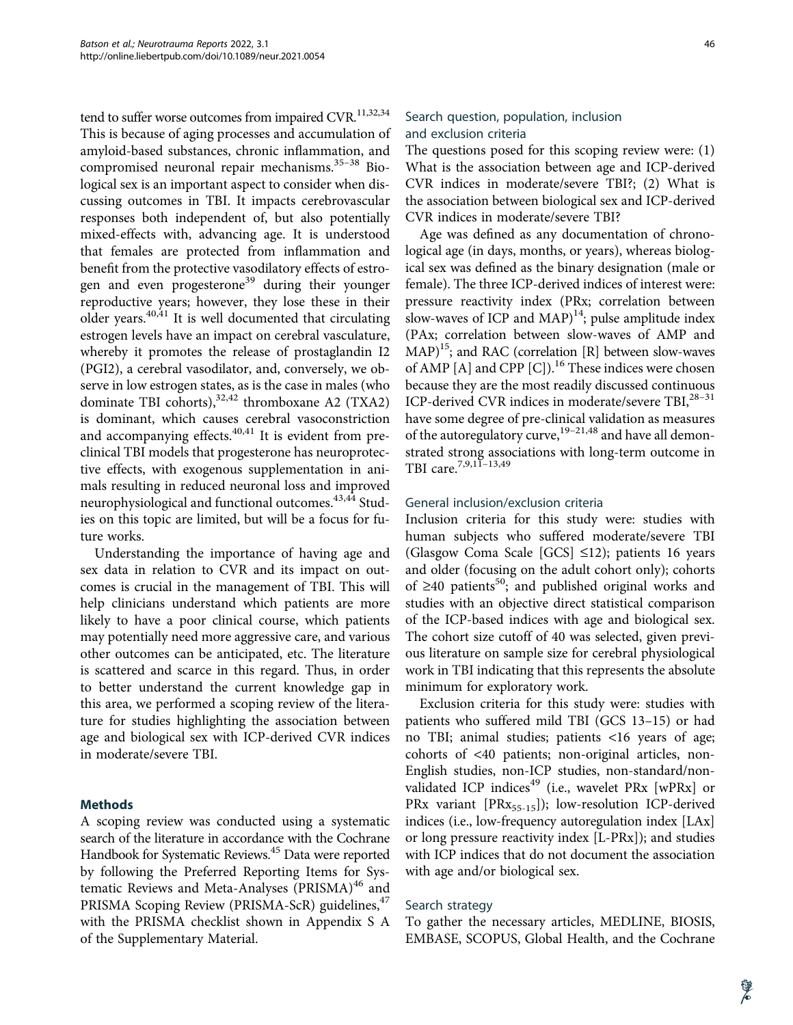tend to suffer worse outcomes from impaired  $CVR$ <sup>11,32,34</sup> This is because of aging processes and accumulation of amyloid-based substances, chronic inflammation, and compromised neuronal repair mechanisms.<sup>35-38</sup> Biological sex is an important aspect to consider when discussing outcomes in TBI. It impacts cerebrovascular responses both independent of, but also potentially mixed-effects with, advancing age. It is understood that females are protected from inflammation and benefit from the protective vasodilatory effects of estrogen and even progesterone<sup>39</sup> during their younger reproductive years; however, they lose these in their older years.40,41 It is well documented that circulating estrogen levels have an impact on cerebral vasculature, whereby it promotes the release of prostaglandin I2 (PGI2), a cerebral vasodilator, and, conversely, we observe in low estrogen states, as is the case in males (who dominate TBI cohorts), $32,42$  thromboxane A2 (TXA2) is dominant, which causes cerebral vasoconstriction and accompanying effects.<sup>40,41</sup> It is evident from preclinical TBI models that progesterone has neuroprotective effects, with exogenous supplementation in animals resulting in reduced neuronal loss and improved neurophysiological and functional outcomes.<sup>43,44</sup> Studies on this topic are limited, but will be a focus for future works.

Understanding the importance of having age and sex data in relation to CVR and its impact on outcomes is crucial in the management of TBI. This will help clinicians understand which patients are more likely to have a poor clinical course, which patients may potentially need more aggressive care, and various other outcomes can be anticipated, etc. The literature is scattered and scarce in this regard. Thus, in order to better understand the current knowledge gap in this area, we performed a scoping review of the literature for studies highlighting the association between age and biological sex with ICP-derived CVR indices in moderate/severe TBI.

# Methods

A scoping review was conducted using a systematic search of the literature in accordance with the Cochrane Handbook for Systematic Reviews.45 Data were reported by following the Preferred Reporting Items for Systematic Reviews and Meta-Analyses (PRISMA)<sup>46</sup> and PRISMA Scoping Review (PRISMA-ScR) guidelines,<sup>47</sup> with the PRISMA checklist shown in Appendix S A of the Supplementary Material.

# Search question, population, inclusion and exclusion criteria

The questions posed for this scoping review were: (1) What is the association between age and ICP-derived CVR indices in moderate/severe TBI?; (2) What is the association between biological sex and ICP-derived CVR indices in moderate/severe TBI?

Age was defined as any documentation of chronological age (in days, months, or years), whereas biological sex was defined as the binary designation (male or female). The three ICP-derived indices of interest were: pressure reactivity index (PRx; correlation between slow-waves of ICP and MAP $14$ ; pulse amplitude index (PAx; correlation between slow-waves of AMP and  $MAP$ <sup>15</sup>; and RAC (correlation [R] between slow-waves of AMP [A] and CPP [C]).<sup>16</sup> These indices were chosen because they are the most readily discussed continuous ICP-derived CVR indices in moderate/severe TBI,<sup>28-31</sup> have some degree of pre-clinical validation as measures of the autoregulatory curve,<sup>19-21,48</sup> and have all demonstrated strong associations with long-term outcome in TBI care.7,9,11–13,49

#### General inclusion/exclusion criteria

Inclusion criteria for this study were: studies with human subjects who suffered moderate/severe TBI (Glasgow Coma Scale [GCS]  $\leq$ 12); patients 16 years and older (focusing on the adult cohort only); cohorts of  $\geq$ 40 patients<sup>50</sup>; and published original works and studies with an objective direct statistical comparison of the ICP-based indices with age and biological sex. The cohort size cutoff of 40 was selected, given previous literature on sample size for cerebral physiological work in TBI indicating that this represents the absolute minimum for exploratory work.

Exclusion criteria for this study were: studies with patients who suffered mild TBI (GCS 13–15) or had no TBI; animal studies; patients <16 years of age; cohorts of <40 patients; non-original articles, non-English studies, non-ICP studies, non-standard/nonvalidated ICP indices $49$  (i.e., wavelet PRx [wPRx] or PRx variant [PRx<sub>55-15</sub>]); low-resolution ICP-derived indices (i.e., low-frequency autoregulation index [LAx] or long pressure reactivity index [L-PRx]); and studies with ICP indices that do not document the association with age and/or biological sex.

#### Search strategy

To gather the necessary articles, MEDLINE, BIOSIS, EMBASE, SCOPUS, Global Health, and the Cochrane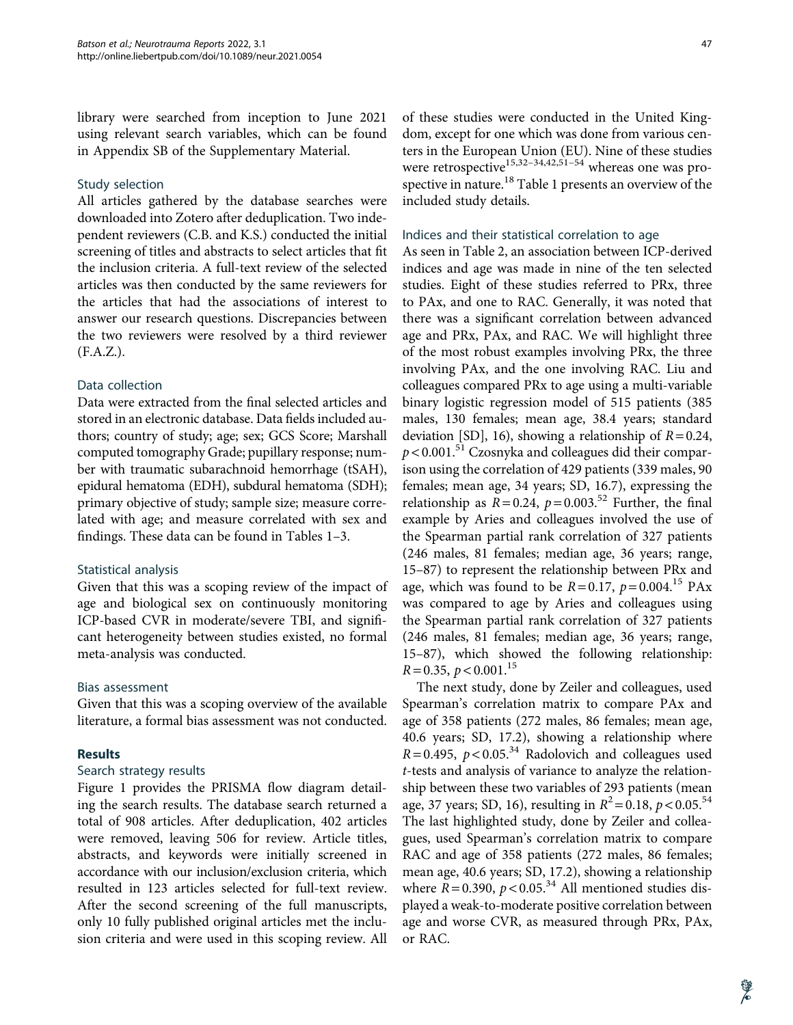library were searched from inception to June 2021 using relevant search variables, which can be found in Appendix SB of the Supplementary Material.

#### Study selection

All articles gathered by the database searches were downloaded into Zotero after deduplication. Two independent reviewers (C.B. and K.S.) conducted the initial screening of titles and abstracts to select articles that fit the inclusion criteria. A full-text review of the selected articles was then conducted by the same reviewers for the articles that had the associations of interest to answer our research questions. Discrepancies between the two reviewers were resolved by a third reviewer (F.A.Z.).

#### Data collection

Data were extracted from the final selected articles and stored in an electronic database. Data fields included authors; country of study; age; sex; GCS Score; Marshall computed tomography Grade; pupillary response; number with traumatic subarachnoid hemorrhage (tSAH), epidural hematoma (EDH), subdural hematoma (SDH); primary objective of study; sample size; measure correlated with age; and measure correlated with sex and findings. These data can be found in Tables 1–3.

#### Statistical analysis

Given that this was a scoping review of the impact of age and biological sex on continuously monitoring ICP-based CVR in moderate/severe TBI, and significant heterogeneity between studies existed, no formal meta-analysis was conducted.

# Bias assessment

Given that this was a scoping overview of the available literature, a formal bias assessment was not conducted.

# **Results**

#### Search strategy results

Figure 1 provides the PRISMA flow diagram detailing the search results. The database search returned a total of 908 articles. After deduplication, 402 articles were removed, leaving 506 for review. Article titles, abstracts, and keywords were initially screened in accordance with our inclusion/exclusion criteria, which resulted in 123 articles selected for full-text review. After the second screening of the full manuscripts, only 10 fully published original articles met the inclusion criteria and were used in this scoping review. All of these studies were conducted in the United Kingdom, except for one which was done from various centers in the European Union (EU). Nine of these studies were retrospective<sup>15,32–34,42,51–54</sup> whereas one was prospective in nature.<sup>18</sup> Table 1 presents an overview of the included study details.

#### Indices and their statistical correlation to age

As seen in Table 2, an association between ICP-derived indices and age was made in nine of the ten selected studies. Eight of these studies referred to PRx, three to PAx, and one to RAC. Generally, it was noted that there was a significant correlation between advanced age and PRx, PAx, and RAC. We will highlight three of the most robust examples involving PRx, the three involving PAx, and the one involving RAC. Liu and colleagues compared PRx to age using a multi-variable binary logistic regression model of 515 patients (385 males, 130 females; mean age, 38.4 years; standard deviation [SD], 16), showing a relationship of  $R = 0.24$ ,  $p < 0.001$ .<sup>51</sup> Czosnyka and colleagues did their comparison using the correlation of 429 patients (339 males, 90 females; mean age, 34 years; SD, 16.7), expressing the relationship as  $R = 0.24$ ,  $p = 0.003$ .<sup>52</sup> Further, the final example by Aries and colleagues involved the use of the Spearman partial rank correlation of 327 patients (246 males, 81 females; median age, 36 years; range, 15–87) to represent the relationship between PRx and age, which was found to be  $R = 0.17$ ,  $p = 0.004$ .<sup>15</sup> PAx was compared to age by Aries and colleagues using the Spearman partial rank correlation of 327 patients (246 males, 81 females; median age, 36 years; range, 15–87), which showed the following relationship:  $R = 0.35, p < 0.001$ <sup>15</sup>

The next study, done by Zeiler and colleagues, used Spearman's correlation matrix to compare PAx and age of 358 patients (272 males, 86 females; mean age, 40.6 years; SD, 17.2), showing a relationship where  $R = 0.495$ ,  $p < 0.05<sup>34</sup>$  Radolovich and colleagues used t-tests and analysis of variance to analyze the relationship between these two variables of 293 patients (mean age, 37 years; SD, 16), resulting in  $R^2 = 0.18$ ,  $p < 0.05$ .<sup>54</sup> The last highlighted study, done by Zeiler and colleagues, used Spearman's correlation matrix to compare RAC and age of 358 patients (272 males, 86 females; mean age, 40.6 years; SD, 17.2), showing a relationship where  $R = 0.390$ ,  $p < 0.05$ .<sup>34</sup> All mentioned studies displayed a weak-to-moderate positive correlation between age and worse CVR, as measured through PRx, PAx, or RAC.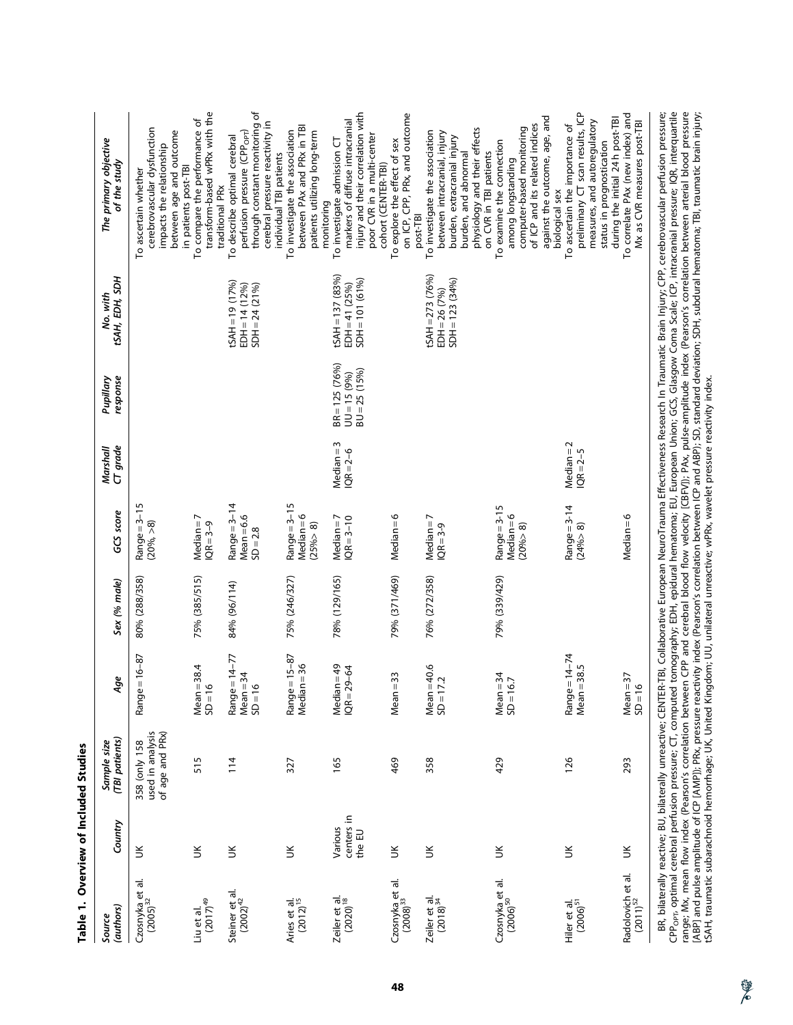| (authors)<br>Source                       | Country                         | (TBI patients)<br>Sample size                        | Age                                         | Sex (% male)  | GCS score                                    | CT grade<br>Marshall          | response<br>Pupillary                                | tSAH, EDH, SDH<br>No. with                                 | The primary objective<br>of the study                                                                                                                                           |
|-------------------------------------------|---------------------------------|------------------------------------------------------|---------------------------------------------|---------------|----------------------------------------------|-------------------------------|------------------------------------------------------|------------------------------------------------------------|---------------------------------------------------------------------------------------------------------------------------------------------------------------------------------|
| $Czosnyka$ et al.<br>$(2005)^{32}$        | $\leq$                          | of age and PRx)<br>used in analysis<br>358 (only 158 | Range = 16-87                               | 80% (288/358) | $Range = 3-15$<br>$(20\%,-8)$                |                               |                                                      |                                                            | cerebrovascular dysfunction<br>between age and outcome<br>impacts the relationship<br>in patients post-TBI<br>To ascertain whether                                              |
| $(2017)^{49}$<br>Liu et al.               | $\leq$                          | 515                                                  | $Mean = 38.4$<br>$SD = 16$                  | 75% (385/515) | $Median = 7$<br>$QR = 3 - 9$                 |                               |                                                      |                                                            | transform-based wPRx with the<br>To compare the performance of<br>traditional PRx                                                                                               |
| Steiner et al.<br>$(2002)^{42}$           | $\leq$                          | 114                                                  | Range = $14-77$<br>$Mean = 34$<br>$SD = 16$ | 84% (96/114)  | Range $=$ 3-14<br>$Mean = 6.6$<br>$SD = 2.8$ |                               |                                                      | $tSAH = 19(17%)$<br>$EDH = 14(12%)$<br>$SDH = 24 (21%)$    | through constant monitoring of<br>cerebral pressure reactivity in<br>perfusion pressure (CPP <sub>OPT</sub> )<br>To describe optimal cerebral<br>individual TBI patients        |
| Aries et al.<br>(2012) <sup>15</sup>      | š                               | 327                                                  | Range = 15-87<br>$Median = 36$              | 75% (246/327) | Range = 3-15<br>$Median = 6$<br>(25% > 8)    |                               |                                                      |                                                            | between PAx and PRx in TBI<br>To investigate the association<br>patients utilizing long-term<br>monitoring                                                                      |
| Zeiler et al.<br>$(2020)^{18}$            | centers in<br>Various<br>the EU | 165                                                  | Median=49<br>$IQR = 29 - 64$                | 78% (129/165) | $Median = 7$<br>$QR = 3 - 10$                | $Median = 3$<br>$1QR = 2 - 6$ | $BR = 125 (76%)$<br>$BU = 25 (15%)$<br>$UU = 15(9%)$ | $tSAH = 137(83%)$<br>$SDH = 101 (61%)$<br>$EDH = 41 (25%)$ | injury and their correlation with<br>markers of diffuse intracranial<br>poor CVR in a multi-center<br>To investigate admission CT<br>cohort (CENTER-TBI)                        |
| $Cz$ osnyka et al.<br>$(2008)^{33}$       | š                               | 469                                                  | $Mean = 33$                                 | 79% (371/469) | $Median = 6$                                 |                               |                                                      |                                                            | on ICP, CPP, PRx, and outcome<br>To explore the effect of sex<br>post-TBI                                                                                                       |
| Zeiler et al.<br>$(2018)^{34}$            | š                               | 358                                                  | $Mean = 40.6$<br>$SD = 17.2$                | 76% (272/358) | $Median = 7$<br>$IQR = 3-9$                  |                               |                                                      | $LSAH = 273 (76%)$<br>$SDH = 123(34%)$<br>$EDH = 26 (7%)$  | physiology and their effects<br>To investigate the association<br>between intracranial, injury<br>burden, extracranial injury<br>on CVR in TBI patients<br>burden, and abnormal |
| Czosnyka et al.<br>(2006) <sup>50</sup>   | š                               | 429                                                  | $Mean = 34$<br>$SD = 16.7$                  | 79% (339/429) | $Range = 3-15$<br>$Median = 6$<br>(20% > 8)  |                               |                                                      |                                                            | against the outcome, age, and<br>of ICP and its related indices<br>computer-based monitoring<br>To examine the connection<br>among longstanding<br>biological sex               |
| Hiler et al.<br>(2006) <sup>51</sup>      | $\leq$                          | 126                                                  | Range = 14-74<br>$Mean = 38.5$              |               | Range = 3-14<br>(24% > 8)                    | $Median = 2$<br>$IQR = 2 - 5$ |                                                      |                                                            | preliminary CT scan results, ICP<br>during the initial 24h post-TBI<br>measures, and autoregulatory<br>To ascertain the importance of<br>status in prognostication              |
| Radolovich et al.<br>(2011) <sup>52</sup> | š                               | 293                                                  | $Mean = 37$<br>$SD = 16$                    |               | $Median = 6$                                 |                               |                                                      |                                                            | To correlate PAx (new index) and<br>Mx as CVR measures post-TBI                                                                                                                 |
|                                           |                                 |                                                      |                                             |               |                                              |                               |                                                      |                                                            | BD hilaterally ractive BH hilaterally uncontive CENTED TBH Collaborative Europe Effectivenece Decease In Traumatic Bosine CBD corphromaticity refuge                            |

Table 1. Overview of Included Studies Table 1. Overview of Included Studies

BR, bilaterally reactive; BU, bilaterally unreactive; CENTER-TBI, Collaborative European NeuroTrauma Effectiveness Research In Traumatic Brain Injury; CPP, cerebrovascular perfusion pressure;<br>CPP<sub>opr</sub>, optimal cerebral per BR, bilaterally reactive; BU, bilaterally unreactive; CENTER-TBI, Collaborative European NeuroTrauma Effectiveness Research In Traumatic Brain Injury; CPP, cerebrovascular perfusion pressure; [ABP] and pulse amplitude of ICP [AMP]); PRx, pressure reactivity index (Pearson's correlation between ICP and ABP); SD, standard deviation; SDH, subdural hematoma; TBI, traumatic brain injury; CPP<sub>opt</sub>, optimal cerebral perfusion pressure; CT, computed tomography; EDH, epidural hematoma; EU, European Union; GCS, Glasgow Coma Scale; ICP, intracranial pressure; IQR, interquartile range; Mx, mean flow index (Pearson's correlation between CPP and cerebral blood flow velocity [CBFV]); PAx, pulse-amplitude index (Pearson's correlation between arterial blood pressure tSAH, traumatic subarachnoid hemorrhage; UK, United Kingdom; UU, unilateral unreactive; wPRx, wavelet pressure reactivity index.

學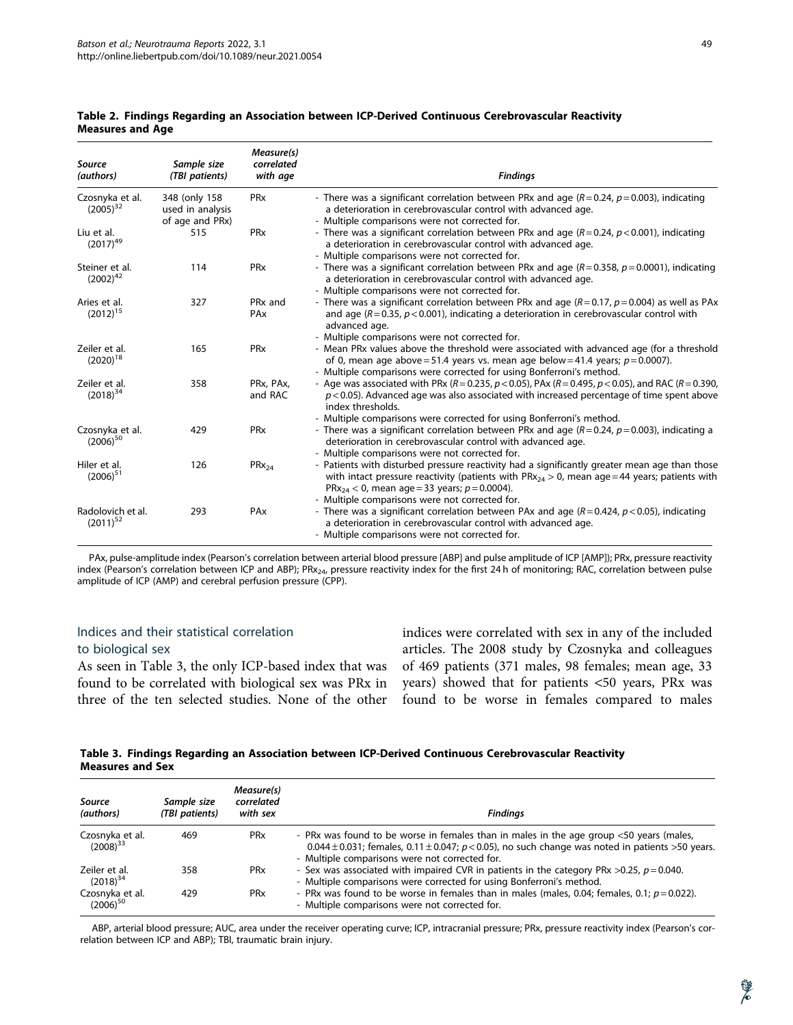| <b>Source</b><br>(authors)         | Sample size<br>(TBI patients)                         | Measure(s)<br>correlated<br>with age | <b>Findings</b>                                                                                                                                                                                                                                                                                                      |
|------------------------------------|-------------------------------------------------------|--------------------------------------|----------------------------------------------------------------------------------------------------------------------------------------------------------------------------------------------------------------------------------------------------------------------------------------------------------------------|
| Czosnyka et al.<br>$(2005)^{32}$   | 348 (only 158)<br>used in analysis<br>of age and PRx) | <b>PR<sub>x</sub></b>                | - There was a significant correlation between PRx and age ( $R = 0.24$ , $p = 0.003$ ), indicating<br>a deterioration in cerebrovascular control with advanced age.<br>- Multiple comparisons were not corrected for.                                                                                                |
| Liu et al.<br>$(2017)^{49}$        | 515                                                   | PR <sub>x</sub>                      | - There was a significant correlation between PRx and age ( $R = 0.24$ , $p < 0.001$ ), indicating<br>a deterioration in cerebrovascular control with advanced age.<br>- Multiple comparisons were not corrected for.                                                                                                |
| Steiner et al.<br>$(2002)^{42}$    | 114                                                   | PR <sub>x</sub>                      | - There was a significant correlation between PRx and age $(R = 0.358, p = 0.0001)$ , indicating<br>a deterioration in cerebrovascular control with advanced age.<br>- Multiple comparisons were not corrected for.                                                                                                  |
| Aries et al.<br>$(2012)^{15}$      | 327                                                   | PR <sub>x</sub> and<br>PAx           | - There was a significant correlation between PRx and age ( $R = 0.17$ , $p = 0.004$ ) as well as PAx<br>and age $(R = 0.35, p < 0.001)$ , indicating a deterioration in cerebrovascular control with<br>advanced age.<br>- Multiple comparisons were not corrected for.                                             |
| Zeiler et al.<br>$(2020)^{18}$     | 165                                                   | PR <sub>x</sub>                      | - Mean PRx values above the threshold were associated with advanced age (for a threshold<br>of 0, mean age above = 51.4 years vs. mean age below = 41.4 years; $p = 0.0007$ ).<br>- Multiple comparisons were corrected for using Bonferroni's method.                                                               |
| Zeiler et al.<br>$(2018)^{34}$     | 358                                                   | PRx, PAx,<br>and RAC                 | - Age was associated with PRx ( $R = 0.235$ , $p < 0.05$ ), PAx ( $R = 0.495$ , $p < 0.05$ ), and RAC ( $R = 0.390$ ,<br>$p$ < 0.05). Advanced age was also associated with increased percentage of time spent above<br>index thresholds.<br>- Multiple comparisons were corrected for using Bonferroni's method.    |
| Czosnyka et al.<br>$(2006)^{50}$   | 429                                                   | PR <sub>x</sub>                      | - There was a significant correlation between PRx and age ( $R = 0.24$ , $p = 0.003$ ), indicating a<br>deterioration in cerebrovascular control with advanced age.<br>- Multiple comparisons were not corrected for.                                                                                                |
| Hiler et al.<br>$(2006)^{51}$      | 126                                                   | $PRX_{24}$                           | - Patients with disturbed pressure reactivity had a significantly greater mean age than those<br>with intact pressure reactivity (patients with $PRx_{24} > 0$ , mean age = 44 years; patients with<br>PRx <sub>24</sub> < 0, mean age = 33 years; $p = 0.0004$ ).<br>- Multiple comparisons were not corrected for. |
| Radolovich et al.<br>$(2011)^{52}$ | 293                                                   | PAx                                  | - There was a significant correlation between PAx and age $(R = 0.424, p < 0.05)$ , indicating<br>a deterioration in cerebrovascular control with advanced age.<br>- Multiple comparisons were not corrected for.                                                                                                    |

#### Table 2. Findings Regarding an Association between ICP-Derived Continuous Cerebrovascular Reactivity Measures and Age

PAx, pulse-amplitude index (Pearson's correlation between arterial blood pressure [ABP] and pulse amplitude of ICP [AMP]); PRx, pressure reactivity index (Pearson's correlation between ICP and ABP); PRx<sub>24</sub>, pressure reactivity index for the first 24 h of monitoring; RAC, correlation between pulse amplitude of ICP (AMP) and cerebral perfusion pressure (CPP).

# Indices and their statistical correlation to biological sex

As seen in Table 3, the only ICP-based index that was found to be correlated with biological sex was PRx in three of the ten selected studies. None of the other indices were correlated with sex in any of the included articles. The 2008 study by Czosnyka and colleagues of 469 patients (371 males, 98 females; mean age, 33 years) showed that for patients <50 years, PRx was found to be worse in females compared to males

Table 3. Findings Regarding an Association between ICP-Derived Continuous Cerebrovascular Reactivity Measures and Sex

| Source<br>(authors)              | Sample size<br>(TBI patients) | Measure(s)<br>correlated<br>with sex | <b>Findinas</b>                                                                                                                                                                                                                                   |
|----------------------------------|-------------------------------|--------------------------------------|---------------------------------------------------------------------------------------------------------------------------------------------------------------------------------------------------------------------------------------------------|
| Czosnyka et al.<br>$(2008)^{33}$ | 469                           | PR <sub>x</sub>                      | - PRx was found to be worse in females than in males in the age group <50 years (males,<br>0.044 ± 0.031; females, 0.11 ± 0.047; $p < 0.05$ ), no such change was noted in patients > 50 years.<br>- Multiple comparisons were not corrected for. |
| Zeiler et al.<br>$(2018)^{34}$   | 358                           | PR <sub>x</sub>                      | - Sex was associated with impaired CVR in patients in the category PRx $>0.25$ , $p = 0.040$ .<br>- Multiple comparisons were corrected for using Bonferroni's method.                                                                            |
| Czosnyka et al.<br>$(2006)^{50}$ | 429                           | PR <sub>x</sub>                      | - PRx was found to be worse in females than in males (males, 0.04; females, 0.1; $p = 0.022$ ).<br>- Multiple comparisons were not corrected for.                                                                                                 |

ABP, arterial blood pressure; AUC, area under the receiver operating curve; ICP, intracranial pressure; PRx, pressure reactivity index (Pearson's correlation between ICP and ABP); TBI, traumatic brain injury.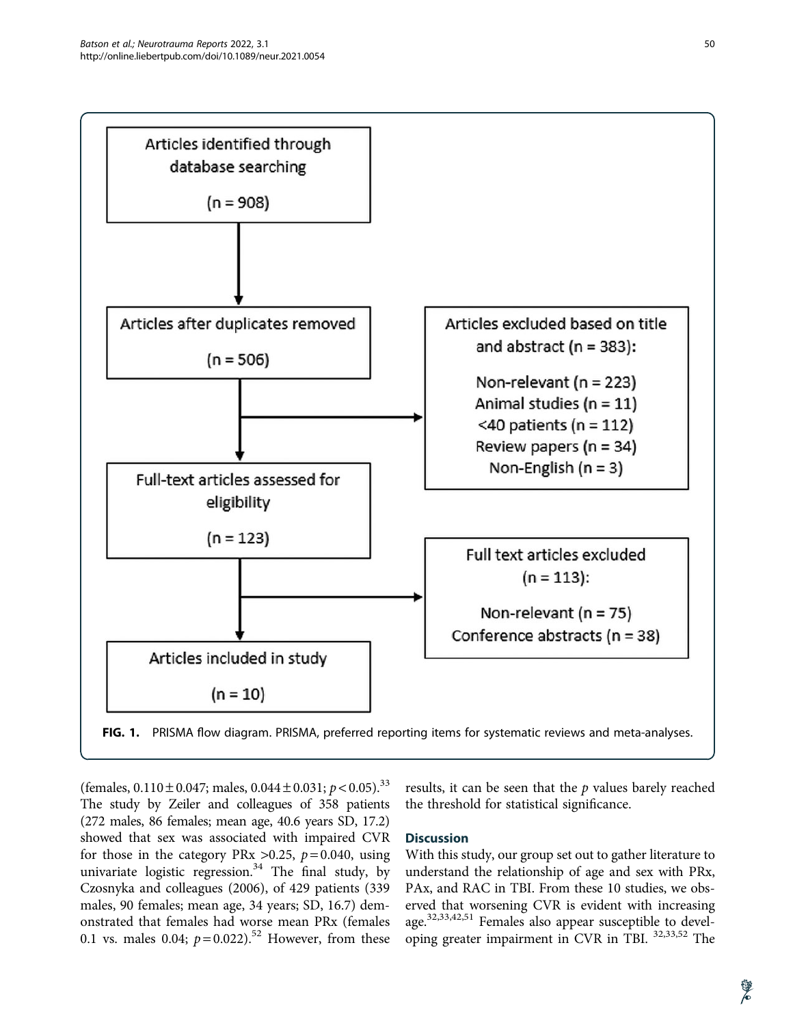

(females,  $0.110 \pm 0.047$ ; males,  $0.044 \pm 0.031$ ;  $p < 0.05$ ).<sup>33</sup> The study by Zeiler and colleagues of 358 patients (272 males, 86 females; mean age, 40.6 years SD, 17.2) showed that sex was associated with impaired CVR for those in the category PRx  $>0.25$ ,  $p = 0.040$ , using univariate logistic regression.<sup>34</sup> The final study, by Czosnyka and colleagues (2006), of 429 patients (339 males, 90 females; mean age, 34 years; SD, 16.7) demonstrated that females had worse mean PRx (females 0.1 vs. males 0.04;  $p = 0.022$ ).<sup>52</sup> However, from these

results, it can be seen that the  $p$  values barely reached the threshold for statistical significance.

# **Discussion**

With this study, our group set out to gather literature to understand the relationship of age and sex with PRx, PAx, and RAC in TBI. From these 10 studies, we observed that worsening CVR is evident with increasing age.<sup>32,33,42,51</sup> Females also appear susceptible to developing greater impairment in CVR in TBI. 32,33,52 The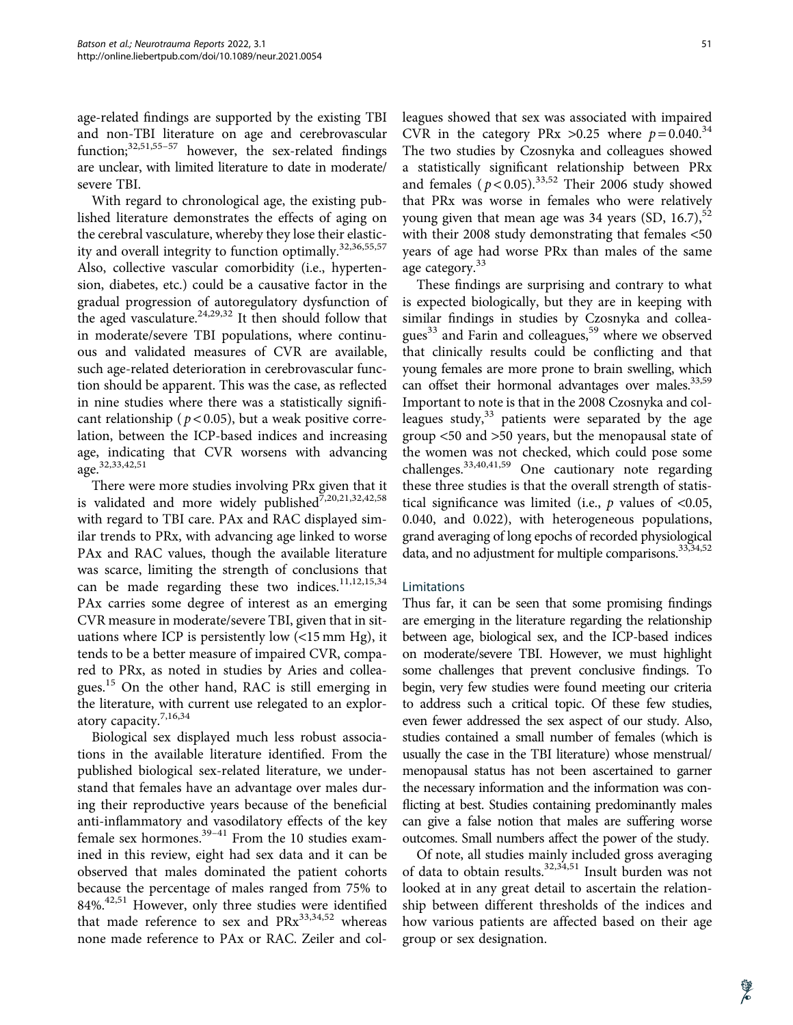age-related findings are supported by the existing TBI and non-TBI literature on age and cerebrovascular function; $32,51,55-57$  however, the sex-related findings are unclear, with limited literature to date in moderate/ severe TBI.

With regard to chronological age, the existing published literature demonstrates the effects of aging on the cerebral vasculature, whereby they lose their elasticity and overall integrity to function optimally.<sup>32,36,55,57</sup> Also, collective vascular comorbidity (i.e., hypertension, diabetes, etc.) could be a causative factor in the gradual progression of autoregulatory dysfunction of the aged vasculature.<sup>24,29,32</sup> It then should follow that in moderate/severe TBI populations, where continuous and validated measures of CVR are available, such age-related deterioration in cerebrovascular function should be apparent. This was the case, as reflected in nine studies where there was a statistically significant relationship ( $p < 0.05$ ), but a weak positive correlation, between the ICP-based indices and increasing age, indicating that CVR worsens with advancing age.32,33,42,51

There were more studies involving PRx given that it is validated and more widely published $\bar{7},20,21,32,42,58$ with regard to TBI care. PAx and RAC displayed similar trends to PRx, with advancing age linked to worse PAx and RAC values, though the available literature was scarce, limiting the strength of conclusions that can be made regarding these two indices.<sup>11,12,15,34</sup> PAx carries some degree of interest as an emerging CVR measure in moderate/severe TBI, given that in situations where ICP is persistently low (<15 mm Hg), it tends to be a better measure of impaired CVR, compared to PRx, as noted in studies by Aries and colleagues.<sup>15</sup> On the other hand, RAC is still emerging in the literature, with current use relegated to an exploratory capacity.7,16,34

Biological sex displayed much less robust associations in the available literature identified. From the published biological sex-related literature, we understand that females have an advantage over males during their reproductive years because of the beneficial anti-inflammatory and vasodilatory effects of the key female sex hormones. $39-41$  From the 10 studies examined in this review, eight had sex data and it can be observed that males dominated the patient cohorts because the percentage of males ranged from 75% to  $84\%$ <sup>42,51</sup> However, only three studies were identified that made reference to sex and  $PRx^{33,34,52}$  whereas none made reference to PAx or RAC. Zeiler and colleagues showed that sex was associated with impaired CVR in the category PRx  $>0.25$  where  $p = 0.040$ .<sup>34</sup> The two studies by Czosnyka and colleagues showed a statistically significant relationship between PRx and females  $(p < 0.05)$ .<sup>33,52</sup> Their 2006 study showed that PRx was worse in females who were relatively young given that mean age was 34 years  $(SD, 16.7),^{52}$ with their 2008 study demonstrating that females <50 years of age had worse PRx than males of the same age category.<sup>33</sup>

These findings are surprising and contrary to what is expected biologically, but they are in keeping with similar findings in studies by Czosnyka and colleagues<sup>33</sup> and Farin and colleagues,<sup>59</sup> where we observed that clinically results could be conflicting and that young females are more prone to brain swelling, which can offset their hormonal advantages over males.<sup>33,59</sup> Important to note is that in the 2008 Czosnyka and colleagues study, $33$  patients were separated by the age group <50 and >50 years, but the menopausal state of the women was not checked, which could pose some challenges.33,40,41,59 One cautionary note regarding these three studies is that the overall strength of statistical significance was limited (i.e.,  $p$  values of <0.05, 0.040, and 0.022), with heterogeneous populations, grand averaging of long epochs of recorded physiological data, and no adjustment for multiple comparisons.<sup>33,34,52</sup>

#### Limitations

Thus far, it can be seen that some promising findings are emerging in the literature regarding the relationship between age, biological sex, and the ICP-based indices on moderate/severe TBI. However, we must highlight some challenges that prevent conclusive findings. To begin, very few studies were found meeting our criteria to address such a critical topic. Of these few studies, even fewer addressed the sex aspect of our study. Also, studies contained a small number of females (which is usually the case in the TBI literature) whose menstrual/ menopausal status has not been ascertained to garner the necessary information and the information was conflicting at best. Studies containing predominantly males can give a false notion that males are suffering worse outcomes. Small numbers affect the power of the study.

Of note, all studies mainly included gross averaging of data to obtain results.32,34,51 Insult burden was not looked at in any great detail to ascertain the relationship between different thresholds of the indices and how various patients are affected based on their age group or sex designation.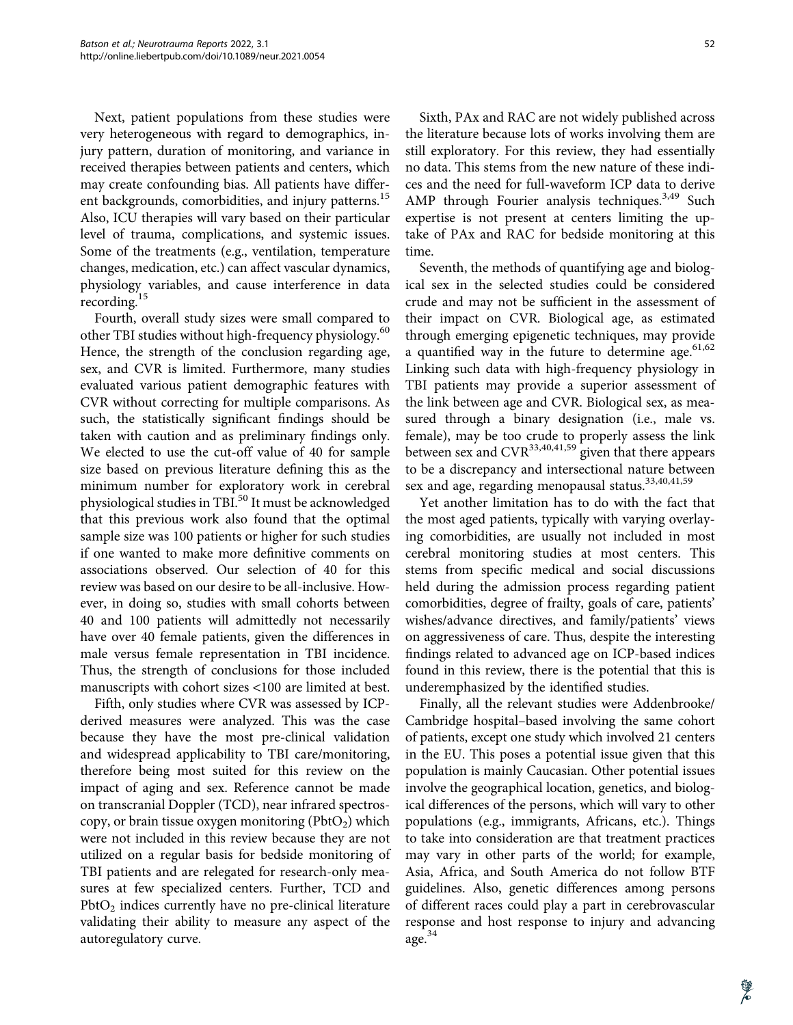Next, patient populations from these studies were very heterogeneous with regard to demographics, injury pattern, duration of monitoring, and variance in received therapies between patients and centers, which may create confounding bias. All patients have different backgrounds, comorbidities, and injury patterns.<sup>15</sup> Also, ICU therapies will vary based on their particular level of trauma, complications, and systemic issues. Some of the treatments (e.g., ventilation, temperature changes, medication, etc.) can affect vascular dynamics, physiology variables, and cause interference in data recording.<sup>15</sup>

Fourth, overall study sizes were small compared to other TBI studies without high-frequency physiology.<sup>60</sup> Hence, the strength of the conclusion regarding age, sex, and CVR is limited. Furthermore, many studies evaluated various patient demographic features with CVR without correcting for multiple comparisons. As such, the statistically significant findings should be taken with caution and as preliminary findings only. We elected to use the cut-off value of 40 for sample size based on previous literature defining this as the minimum number for exploratory work in cerebral physiological studies in TBI.<sup>50</sup> It must be acknowledged that this previous work also found that the optimal sample size was 100 patients or higher for such studies if one wanted to make more definitive comments on associations observed. Our selection of 40 for this review was based on our desire to be all-inclusive. However, in doing so, studies with small cohorts between 40 and 100 patients will admittedly not necessarily have over 40 female patients, given the differences in male versus female representation in TBI incidence. Thus, the strength of conclusions for those included manuscripts with cohort sizes <100 are limited at best.

Fifth, only studies where CVR was assessed by ICPderived measures were analyzed. This was the case because they have the most pre-clinical validation and widespread applicability to TBI care/monitoring, therefore being most suited for this review on the impact of aging and sex. Reference cannot be made on transcranial Doppler (TCD), near infrared spectroscopy, or brain tissue oxygen monitoring  $(PhotO<sub>2</sub>)$  which were not included in this review because they are not utilized on a regular basis for bedside monitoring of TBI patients and are relegated for research-only measures at few specialized centers. Further, TCD and  $PbtO<sub>2</sub>$  indices currently have no pre-clinical literature validating their ability to measure any aspect of the autoregulatory curve.

Sixth, PAx and RAC are not widely published across the literature because lots of works involving them are still exploratory. For this review, they had essentially no data. This stems from the new nature of these indices and the need for full-waveform ICP data to derive AMP through Fourier analysis techniques.<sup>3,49</sup> Such expertise is not present at centers limiting the up-

Seventh, the methods of quantifying age and biological sex in the selected studies could be considered crude and may not be sufficient in the assessment of their impact on CVR. Biological age, as estimated through emerging epigenetic techniques, may provide a quantified way in the future to determine age. $61,62$ Linking such data with high-frequency physiology in TBI patients may provide a superior assessment of the link between age and CVR. Biological sex, as measured through a binary designation (i.e., male vs. female), may be too crude to properly assess the link between sex and  $CVR^{33,40,41,59}$  given that there appears to be a discrepancy and intersectional nature between sex and age, regarding menopausal status.<sup>33,40,41,59</sup>

take of PAx and RAC for bedside monitoring at this

time.

Yet another limitation has to do with the fact that the most aged patients, typically with varying overlaying comorbidities, are usually not included in most cerebral monitoring studies at most centers. This stems from specific medical and social discussions held during the admission process regarding patient comorbidities, degree of frailty, goals of care, patients' wishes/advance directives, and family/patients' views on aggressiveness of care. Thus, despite the interesting findings related to advanced age on ICP-based indices found in this review, there is the potential that this is underemphasized by the identified studies.

Finally, all the relevant studies were Addenbrooke/ Cambridge hospital–based involving the same cohort of patients, except one study which involved 21 centers in the EU. This poses a potential issue given that this population is mainly Caucasian. Other potential issues involve the geographical location, genetics, and biological differences of the persons, which will vary to other populations (e.g., immigrants, Africans, etc.). Things to take into consideration are that treatment practices may vary in other parts of the world; for example, Asia, Africa, and South America do not follow BTF guidelines. Also, genetic differences among persons of different races could play a part in cerebrovascular response and host response to injury and advancing age.<sup>34</sup>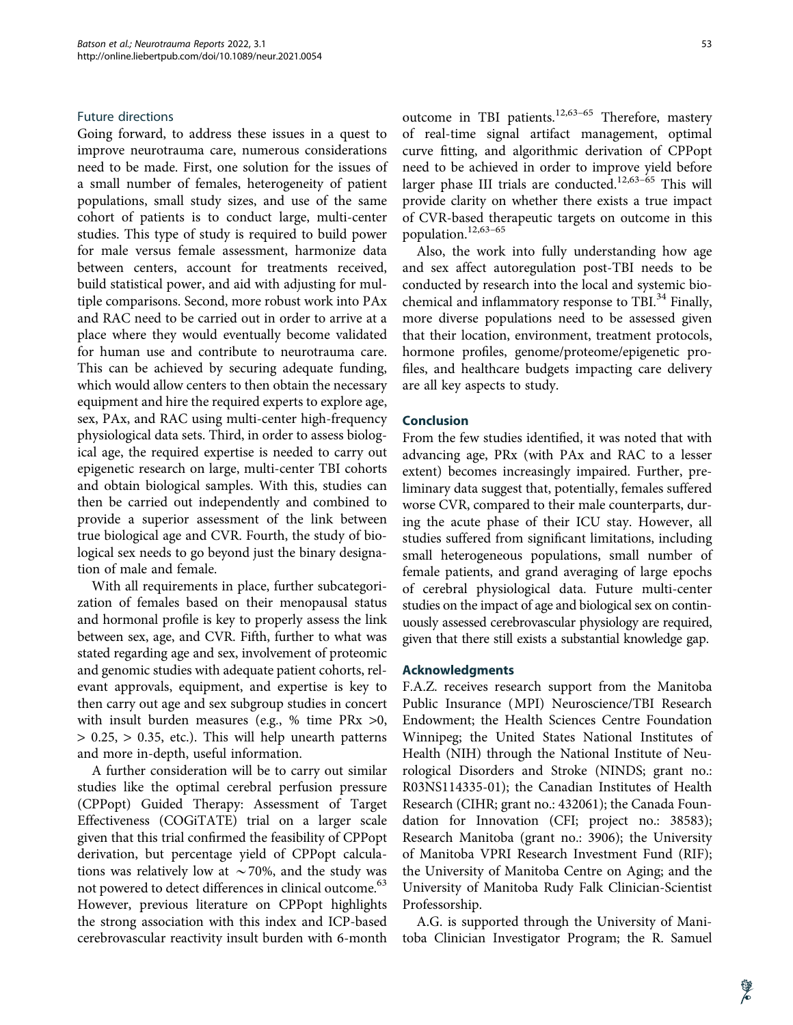#### Future directions

Going forward, to address these issues in a quest to improve neurotrauma care, numerous considerations need to be made. First, one solution for the issues of a small number of females, heterogeneity of patient populations, small study sizes, and use of the same cohort of patients is to conduct large, multi-center studies. This type of study is required to build power for male versus female assessment, harmonize data between centers, account for treatments received, build statistical power, and aid with adjusting for multiple comparisons. Second, more robust work into PAx and RAC need to be carried out in order to arrive at a place where they would eventually become validated for human use and contribute to neurotrauma care. This can be achieved by securing adequate funding, which would allow centers to then obtain the necessary equipment and hire the required experts to explore age, sex, PAx, and RAC using multi-center high-frequency physiological data sets. Third, in order to assess biological age, the required expertise is needed to carry out epigenetic research on large, multi-center TBI cohorts and obtain biological samples. With this, studies can then be carried out independently and combined to provide a superior assessment of the link between true biological age and CVR. Fourth, the study of biological sex needs to go beyond just the binary designation of male and female.

With all requirements in place, further subcategorization of females based on their menopausal status and hormonal profile is key to properly assess the link between sex, age, and CVR. Fifth, further to what was stated regarding age and sex, involvement of proteomic and genomic studies with adequate patient cohorts, relevant approvals, equipment, and expertise is key to then carry out age and sex subgroup studies in concert with insult burden measures (e.g., % time PRx >0, > 0.25, > 0.35, etc.). This will help unearth patterns and more in-depth, useful information.

A further consideration will be to carry out similar studies like the optimal cerebral perfusion pressure (CPPopt) Guided Therapy: Assessment of Target Effectiveness (COGiTATE) trial on a larger scale given that this trial confirmed the feasibility of CPPopt derivation, but percentage yield of CPPopt calculations was relatively low at  $\sim$  70%, and the study was not powered to detect differences in clinical outcome.<sup>63</sup> However, previous literature on CPPopt highlights the strong association with this index and ICP-based cerebrovascular reactivity insult burden with 6-month outcome in TBI patients.<sup>12,63-65</sup> Therefore, mastery of real-time signal artifact management, optimal curve fitting, and algorithmic derivation of CPPopt need to be achieved in order to improve yield before larger phase III trials are conducted.<sup>12,63-65</sup> This will provide clarity on whether there exists a true impact of CVR-based therapeutic targets on outcome in this population.12,63–65

Also, the work into fully understanding how age and sex affect autoregulation post-TBI needs to be conducted by research into the local and systemic biochemical and inflammatory response to TBI.<sup>34</sup> Finally, more diverse populations need to be assessed given that their location, environment, treatment protocols, hormone profiles, genome/proteome/epigenetic profiles, and healthcare budgets impacting care delivery are all key aspects to study.

#### Conclusion

From the few studies identified, it was noted that with advancing age, PRx (with PAx and RAC to a lesser extent) becomes increasingly impaired. Further, preliminary data suggest that, potentially, females suffered worse CVR, compared to their male counterparts, during the acute phase of their ICU stay. However, all studies suffered from significant limitations, including small heterogeneous populations, small number of female patients, and grand averaging of large epochs of cerebral physiological data. Future multi-center studies on the impact of age and biological sex on continuously assessed cerebrovascular physiology are required, given that there still exists a substantial knowledge gap.

#### Acknowledgments

F.A.Z. receives research support from the Manitoba Public Insurance (MPI) Neuroscience/TBI Research Endowment; the Health Sciences Centre Foundation Winnipeg; the United States National Institutes of Health (NIH) through the National Institute of Neurological Disorders and Stroke (NINDS; grant no.: R03NS114335-01); the Canadian Institutes of Health Research (CIHR; grant no.: 432061); the Canada Foundation for Innovation (CFI; project no.: 38583); Research Manitoba (grant no.: 3906); the University of Manitoba VPRI Research Investment Fund (RIF); the University of Manitoba Centre on Aging; and the University of Manitoba Rudy Falk Clinician-Scientist Professorship.

A.G. is supported through the University of Manitoba Clinician Investigator Program; the R. Samuel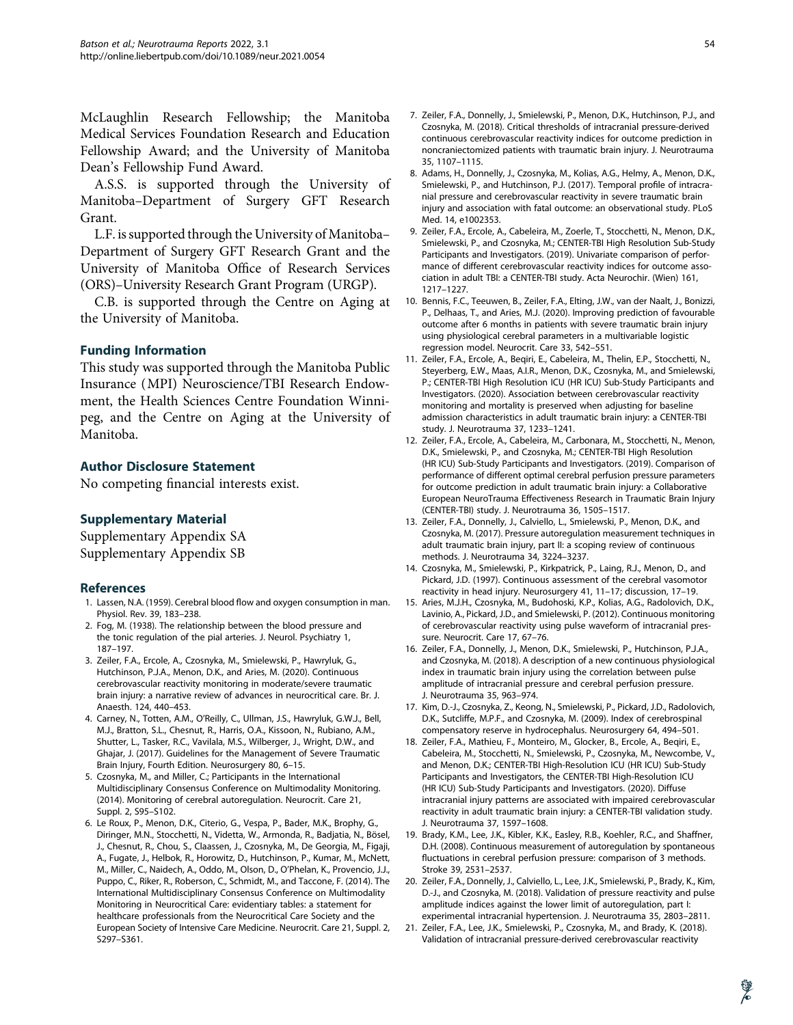McLaughlin Research Fellowship; the Manitoba Medical Services Foundation Research and Education Fellowship Award; and the University of Manitoba Dean's Fellowship Fund Award.

A.S.S. is supported through the University of Manitoba–Department of Surgery GFT Research Grant.

L.F. is supported through the University of Manitoba– Department of Surgery GFT Research Grant and the University of Manitoba Office of Research Services (ORS)–University Research Grant Program (URGP).

C.B. is supported through the Centre on Aging at the University of Manitoba.

#### Funding Information

This study was supported through the Manitoba Public Insurance (MPI) Neuroscience/TBI Research Endowment, the Health Sciences Centre Foundation Winnipeg, and the Centre on Aging at the University of Manitoba.

#### Author Disclosure Statement

No competing financial interests exist.

### Supplementary Material

Supplementary Appendix SA Supplementary Appendix SB

#### **References**

- 1. Lassen, N.A. (1959). Cerebral blood flow and oxygen consumption in man. Physiol. Rev. 39, 183–238.
- 2. Fog, M. (1938). The relationship between the blood pressure and the tonic regulation of the pial arteries. J. Neurol. Psychiatry 1, 187–197.
- 3. Zeiler, F.A., Ercole, A., Czosnyka, M., Smielewski, P., Hawryluk, G., Hutchinson, P.J.A., Menon, D.K., and Aries, M. (2020). Continuous cerebrovascular reactivity monitoring in moderate/severe traumatic brain injury: a narrative review of advances in neurocritical care. Br. J. Anaesth. 124, 440–453.
- 4. Carney, N., Totten, A.M., O'Reilly, C., Ullman, J.S., Hawryluk, G.W.J., Bell, M.J., Bratton, S.L., Chesnut, R., Harris, O.A., Kissoon, N., Rubiano, A.M., Shutter, L., Tasker, R.C., Vavilala, M.S., Wilberger, J., Wright, D.W., and Ghajar, J. (2017). Guidelines for the Management of Severe Traumatic Brain Injury, Fourth Edition. Neurosurgery 80, 6–15.
- 5. Czosnyka, M., and Miller, C.; Participants in the International Multidisciplinary Consensus Conference on Multimodality Monitoring. (2014). Monitoring of cerebral autoregulation. Neurocrit. Care 21, Suppl. 2, S95–S102.
- 6. Le Roux, P., Menon, D.K., Citerio, G., Vespa, P., Bader, M.K., Brophy, G., Diringer, M.N., Stocchetti, N., Videtta, W., Armonda, R., Badjatia, N., Bösel, J., Chesnut, R., Chou, S., Claassen, J., Czosnyka, M., De Georgia, M., Figaji, A., Fugate, J., Helbok, R., Horowitz, D., Hutchinson, P., Kumar, M., McNett, M., Miller, C., Naidech, A., Oddo, M., Olson, D., O'Phelan, K., Provencio, J.J., Puppo, C., Riker, R., Roberson, C., Schmidt, M., and Taccone, F. (2014). The International Multidisciplinary Consensus Conference on Multimodality Monitoring in Neurocritical Care: evidentiary tables: a statement for healthcare professionals from the Neurocritical Care Society and the European Society of Intensive Care Medicine. Neurocrit. Care 21, Suppl. 2, S297–S361.
- 7. Zeiler, F.A., Donnelly, J., Smielewski, P., Menon, D.K., Hutchinson, P.J., and Czosnyka, M. (2018). Critical thresholds of intracranial pressure-derived continuous cerebrovascular reactivity indices for outcome prediction in noncraniectomized patients with traumatic brain injury. J. Neurotrauma 35, 1107–1115.
- 8. Adams, H., Donnelly, J., Czosnyka, M., Kolias, A.G., Helmy, A., Menon, D.K., Smielewski, P., and Hutchinson, P.J. (2017). Temporal profile of intracranial pressure and cerebrovascular reactivity in severe traumatic brain injury and association with fatal outcome: an observational study. PLoS Med. 14, e1002353.
- 9. Zeiler, F.A., Ercole, A., Cabeleira, M., Zoerle, T., Stocchetti, N., Menon, D.K., Smielewski, P., and Czosnyka, M.; CENTER-TBI High Resolution Sub-Study Participants and Investigators. (2019). Univariate comparison of performance of different cerebrovascular reactivity indices for outcome association in adult TBI: a CENTER-TBI study. Acta Neurochir. (Wien) 161, 1217–1227.
- 10. Bennis, F.C., Teeuwen, B., Zeiler, F.A., Elting, J.W., van der Naalt, J., Bonizzi, P., Delhaas, T., and Aries, M.J. (2020). Improving prediction of favourable outcome after 6 months in patients with severe traumatic brain injury using physiological cerebral parameters in a multivariable logistic regression model. Neurocrit. Care 33, 542–551.
- 11. Zeiler, F.A., Ercole, A., Beqiri, E., Cabeleira, M., Thelin, E.P., Stocchetti, N., Steyerberg, E.W., Maas, A.I.R., Menon, D.K., Czosnyka, M., and Smielewski, P.; CENTER-TBI High Resolution ICU (HR ICU) Sub-Study Participants and Investigators. (2020). Association between cerebrovascular reactivity monitoring and mortality is preserved when adjusting for baseline admission characteristics in adult traumatic brain injury: a CENTER-TBI study. J. Neurotrauma 37, 1233–1241.
- 12. Zeiler, F.A., Ercole, A., Cabeleira, M., Carbonara, M., Stocchetti, N., Menon, D.K., Smielewski, P., and Czosnyka, M.; CENTER-TBI High Resolution (HR ICU) Sub-Study Participants and Investigators. (2019). Comparison of performance of different optimal cerebral perfusion pressure parameters for outcome prediction in adult traumatic brain injury: a Collaborative European NeuroTrauma Effectiveness Research in Traumatic Brain Injury (CENTER-TBI) study. J. Neurotrauma 36, 1505–1517.
- 13. Zeiler, F.A., Donnelly, J., Calviello, L., Smielewski, P., Menon, D.K., and Czosnyka, M. (2017). Pressure autoregulation measurement techniques in adult traumatic brain injury, part II: a scoping review of continuous methods. J. Neurotrauma 34, 3224–3237.
- 14. Czosnyka, M., Smielewski, P., Kirkpatrick, P., Laing, R.J., Menon, D., and Pickard, J.D. (1997). Continuous assessment of the cerebral vasomotor reactivity in head injury. Neurosurgery 41, 11–17; discussion, 17–19.
- 15. Aries, M.J.H., Czosnyka, M., Budohoski, K.P., Kolias, A.G., Radolovich, D.K., Lavinio, A., Pickard, J.D., and Smielewski, P. (2012). Continuous monitoring of cerebrovascular reactivity using pulse waveform of intracranial pressure. Neurocrit. Care 17, 67–76.
- 16. Zeiler, F.A., Donnelly, J., Menon, D.K., Smielewski, P., Hutchinson, P.J.A., and Czosnyka, M. (2018). A description of a new continuous physiological index in traumatic brain injury using the correlation between pulse amplitude of intracranial pressure and cerebral perfusion pressure. J. Neurotrauma 35, 963–974.
- 17. Kim, D.-J., Czosnyka, Z., Keong, N., Smielewski, P., Pickard, J.D., Radolovich, D.K., Sutcliffe, M.P.F., and Czosnyka, M. (2009). Index of cerebrospinal compensatory reserve in hydrocephalus. Neurosurgery 64, 494–501.
- 18. Zeiler, F.A., Mathieu, F., Monteiro, M., Glocker, B., Ercole, A., Beqiri, E., Cabeleira, M., Stocchetti, N., Smielewski, P., Czosnyka, M., Newcombe, V., and Menon, D.K.; CENTER-TBI High-Resolution ICU (HR ICU) Sub-Study Participants and Investigators, the CENTER-TBI High-Resolution ICU (HR ICU) Sub-Study Participants and Investigators. (2020). Diffuse intracranial injury patterns are associated with impaired cerebrovascular reactivity in adult traumatic brain injury: a CENTER-TBI validation study. J. Neurotrauma 37, 1597–1608.
- 19. Brady, K.M., Lee, J.K., Kibler, K.K., Easley, R.B., Koehler, R.C., and Shaffner, D.H. (2008). Continuous measurement of autoregulation by spontaneous fluctuations in cerebral perfusion pressure: comparison of 3 methods. Stroke 39, 2531–2537.
- 20. Zeiler, F.A., Donnelly, J., Calviello, L., Lee, J.K., Smielewski, P., Brady, K., Kim, D.-J., and Czosnyka, M. (2018). Validation of pressure reactivity and pulse amplitude indices against the lower limit of autoregulation, part I: experimental intracranial hypertension. J. Neurotrauma 35, 2803–2811.
- 21. Zeiler, F.A., Lee, J.K., Smielewski, P., Czosnyka, M., and Brady, K. (2018). Validation of intracranial pressure-derived cerebrovascular reactivity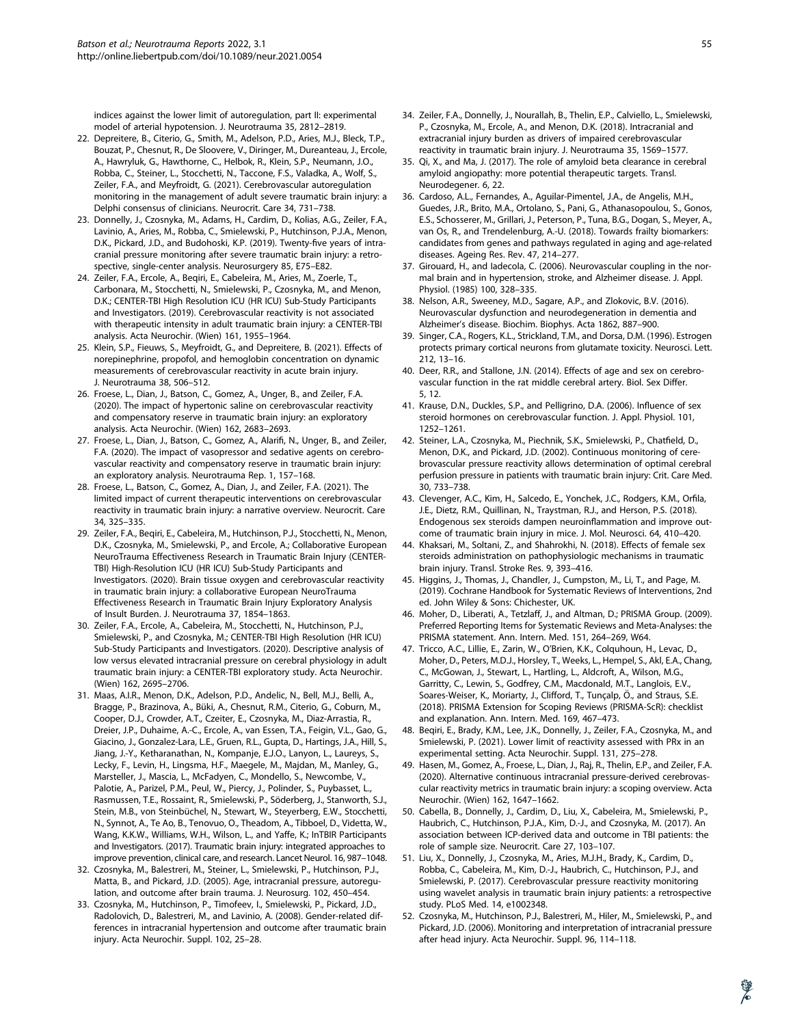indices against the lower limit of autoregulation, part II: experimental model of arterial hypotension. J. Neurotrauma 35, 2812–2819.

- 22. Depreitere, B., Citerio, G., Smith, M., Adelson, P.D., Aries, M.J., Bleck, T.P., Bouzat, P., Chesnut, R., De Sloovere, V., Diringer, M., Dureanteau, J., Ercole, A., Hawryluk, G., Hawthorne, C., Helbok, R., Klein, S.P., Neumann, J.O., Robba, C., Steiner, L., Stocchetti, N., Taccone, F.S., Valadka, A., Wolf, S., Zeiler, F.A., and Meyfroidt, G. (2021). Cerebrovascular autoregulation monitoring in the management of adult severe traumatic brain injury: a Delphi consensus of clinicians. Neurocrit. Care 34, 731–738.
- 23. Donnelly, J., Czosnyka, M., Adams, H., Cardim, D., Kolias, A.G., Zeiler, F.A., Lavinio, A., Aries, M., Robba, C., Smielewski, P., Hutchinson, P.J.A., Menon, D.K., Pickard, J.D., and Budohoski, K.P. (2019). Twenty-five years of intracranial pressure monitoring after severe traumatic brain injury: a retrospective, single-center analysis. Neurosurgery 85, E75–E82.
- 24. Zeiler, F.A., Ercole, A., Beqiri, E., Cabeleira, M., Aries, M., Zoerle, T., Carbonara, M., Stocchetti, N., Smielewski, P., Czosnyka, M., and Menon, D.K.; CENTER-TBI High Resolution ICU (HR ICU) Sub-Study Participants and Investigators. (2019). Cerebrovascular reactivity is not associated with therapeutic intensity in adult traumatic brain injury: a CENTER-TBI analysis. Acta Neurochir. (Wien) 161, 1955–1964.
- 25. Klein, S.P., Fieuws, S., Meyfroidt, G., and Depreitere, B. (2021). Effects of norepinephrine, propofol, and hemoglobin concentration on dynamic measurements of cerebrovascular reactivity in acute brain injury. J. Neurotrauma 38, 506–512.
- 26. Froese, L., Dian, J., Batson, C., Gomez, A., Unger, B., and Zeiler, F.A. (2020). The impact of hypertonic saline on cerebrovascular reactivity and compensatory reserve in traumatic brain injury: an exploratory analysis. Acta Neurochir. (Wien) 162, 2683–2693.
- 27. Froese, L., Dian, J., Batson, C., Gomez, A., Alarifi, N., Unger, B., and Zeiler, F.A. (2020). The impact of vasopressor and sedative agents on cerebrovascular reactivity and compensatory reserve in traumatic brain injury: an exploratory analysis. Neurotrauma Rep. 1, 157–168.
- 28. Froese, L., Batson, C., Gomez, A., Dian, J., and Zeiler, F.A. (2021). The limited impact of current therapeutic interventions on cerebrovascular reactivity in traumatic brain injury: a narrative overview. Neurocrit. Care 34, 325–335.
- 29. Zeiler, F.A., Beqiri, E., Cabeleira, M., Hutchinson, P.J., Stocchetti, N., Menon, D.K., Czosnyka, M., Smielewski, P., and Ercole, A.; Collaborative European NeuroTrauma Effectiveness Research in Traumatic Brain Injury (CENTER-TBI) High-Resolution ICU (HR ICU) Sub-Study Participants and Investigators. (2020). Brain tissue oxygen and cerebrovascular reactivity in traumatic brain injury: a collaborative European NeuroTrauma Effectiveness Research in Traumatic Brain Injury Exploratory Analysis of Insult Burden. J. Neurotrauma 37, 1854–1863.
- 30. Zeiler, F.A., Ercole, A., Cabeleira, M., Stocchetti, N., Hutchinson, P.J., Smielewski, P., and Czosnyka, M.; CENTER-TBI High Resolution (HR ICU) Sub-Study Participants and Investigators. (2020). Descriptive analysis of low versus elevated intracranial pressure on cerebral physiology in adult traumatic brain injury: a CENTER-TBI exploratory study. Acta Neurochir. (Wien) 162, 2695–2706.
- 31. Maas, A.I.R., Menon, D.K., Adelson, P.D., Andelic, N., Bell, M.J., Belli, A., Bragge, P., Brazinova, A., Büki, A., Chesnut, R.M., Citerio, G., Coburn, M., Cooper, D.J., Crowder, A.T., Czeiter, E., Czosnyka, M., Diaz-Arrastia, R., Dreier, J.P., Duhaime, A.-C., Ercole, A., van Essen, T.A., Feigin, V.L., Gao, G., Giacino, J., Gonzalez-Lara, L.E., Gruen, R.L., Gupta, D., Hartings, J.A., Hill, S., Jiang, J.-Y., Ketharanathan, N., Kompanje, E.J.O., Lanyon, L., Laureys, S., Lecky, F., Levin, H., Lingsma, H.F., Maegele, M., Majdan, M., Manley, G., Marsteller, J., Mascia, L., McFadyen, C., Mondello, S., Newcombe, V., Palotie, A., Parizel, P.M., Peul, W., Piercy, J., Polinder, S., Puybasset, L., Rasmussen, T.E., Rossaint, R., Smielewski, P., Söderberg, J., Stanworth, S.J., Stein, M.B., von Steinbüchel, N., Stewart, W., Steyerberg, E.W., Stocchetti, N., Synnot, A., Te Ao, B., Tenovuo, O., Theadom, A., Tibboel, D., Videtta, W., Wang, K.K.W., Williams, W.H., Wilson, L., and Yaffe, K.; InTBIR Participants and Investigators. (2017). Traumatic brain injury: integrated approaches to improve prevention, clinical care, and research. Lancet Neurol. 16, 987–1048.
- 32. Czosnyka, M., Balestreri, M., Steiner, L., Smielewski, P., Hutchinson, P.J., Matta, B., and Pickard, J.D. (2005). Age, intracranial pressure, autoregulation, and outcome after brain trauma. J. Neurosurg. 102, 450–454.
- 33. Czosnyka, M., Hutchinson, P., Timofeev, I., Smielewski, P., Pickard, J.D., Radolovich, D., Balestreri, M., and Lavinio, A. (2008). Gender-related differences in intracranial hypertension and outcome after traumatic brain injury. Acta Neurochir. Suppl. 102, 25–28.
- 34. Zeiler, F.A., Donnelly, J., Nourallah, B., Thelin, E.P., Calviello, L., Smielewski, P., Czosnyka, M., Ercole, A., and Menon, D.K. (2018). Intracranial and extracranial injury burden as drivers of impaired cerebrovascular reactivity in traumatic brain injury. J. Neurotrauma 35, 1569–1577.
- 35. Qi, X., and Ma, J. (2017). The role of amyloid beta clearance in cerebral amyloid angiopathy: more potential therapeutic targets. Transl. Neurodegener. 6, 22.
- 36. Cardoso, A.L., Fernandes, A., Aguilar-Pimentel, J.A., de Angelis, M.H., Guedes, J.R., Brito, M.A., Ortolano, S., Pani, G., Athanasopoulou, S., Gonos, E.S., Schosserer, M., Grillari, J., Peterson, P., Tuna, B.G., Dogan, S., Meyer, A., van Os, R., and Trendelenburg, A.-U. (2018). Towards frailty biomarkers: candidates from genes and pathways regulated in aging and age-related diseases. Ageing Res. Rev. 47, 214–277.
- 37. Girouard, H., and Iadecola, C. (2006). Neurovascular coupling in the normal brain and in hypertension, stroke, and Alzheimer disease. J. Appl. Physiol. (1985) 100, 328–335.
- 38. Nelson, A.R., Sweeney, M.D., Sagare, A.P., and Zlokovic, B.V. (2016). Neurovascular dysfunction and neurodegeneration in dementia and Alzheimer's disease. Biochim. Biophys. Acta 1862, 887–900.
- 39. Singer, C.A., Rogers, K.L., Strickland, T.M., and Dorsa, D.M. (1996). Estrogen protects primary cortical neurons from glutamate toxicity. Neurosci. Lett. 212, 13–16.
- 40. Deer, R.R., and Stallone, J.N. (2014). Effects of age and sex on cerebrovascular function in the rat middle cerebral artery. Biol. Sex Differ. 5, 12.
- 41. Krause, D.N., Duckles, S.P., and Pelligrino, D.A. (2006). Influence of sex steroid hormones on cerebrovascular function. J. Appl. Physiol. 101, 1252–1261.
- 42. Steiner, L.A., Czosnyka, M., Piechnik, S.K., Smielewski, P., Chatfield, D., Menon, D.K., and Pickard, J.D. (2002). Continuous monitoring of cerebrovascular pressure reactivity allows determination of optimal cerebral perfusion pressure in patients with traumatic brain injury: Crit. Care Med. 30, 733–738.
- 43. Clevenger, A.C., Kim, H., Salcedo, E., Yonchek, J.C., Rodgers, K.M., Orfila, J.E., Dietz, R.M., Quillinan, N., Traystman, R.J., and Herson, P.S. (2018). Endogenous sex steroids dampen neuroinflammation and improve outcome of traumatic brain injury in mice. J. Mol. Neurosci. 64, 410–420.
- 44. Khaksari, M., Soltani, Z., and Shahrokhi, N. (2018). Effects of female sex steroids administration on pathophysiologic mechanisms in traumatic brain injury. Transl. Stroke Res. 9, 393–416.
- 45. Higgins, J., Thomas, J., Chandler, J., Cumpston, M., Li, T., and Page, M. (2019). Cochrane Handbook for Systematic Reviews of Interventions, 2nd ed. John Wiley & Sons: Chichester, UK.
- 46. Moher, D., Liberati, A., Tetzlaff, J., and Altman, D.; PRISMA Group. (2009). Preferred Reporting Items for Systematic Reviews and Meta-Analyses: the PRISMA statement. Ann. Intern. Med. 151, 264–269, W64.
- 47. Tricco, A.C., Lillie, E., Zarin, W., O'Brien, K.K., Colquhoun, H., Levac, D., Moher, D., Peters, M.D.J., Horsley, T., Weeks, L., Hempel, S., Akl, E.A., Chang, C., McGowan, J., Stewart, L., Hartling, L., Aldcroft, A., Wilson, M.G., Garritty, C., Lewin, S., Godfrey, C.M., Macdonald, M.T., Langlois, E.V., Soares-Weiser, K., Moriarty, J., Clifford, T., Tunçalp, Ö., and Straus, S.E. (2018). PRISMA Extension for Scoping Reviews (PRISMA-ScR): checklist and explanation. Ann. Intern. Med. 169, 467–473.
- 48. Beqiri, E., Brady, K.M., Lee, J.K., Donnelly, J., Zeiler, F.A., Czosnyka, M., and Smielewski, P. (2021). Lower limit of reactivity assessed with PRx in an experimental setting. Acta Neurochir. Suppl. 131, 275–278.
- 49. Hasen, M., Gomez, A., Froese, L., Dian, J., Raj, R., Thelin, E.P., and Zeiler, F.A. (2020). Alternative continuous intracranial pressure-derived cerebrovascular reactivity metrics in traumatic brain injury: a scoping overview. Acta Neurochir. (Wien) 162, 1647–1662.
- 50. Cabella, B., Donnelly, J., Cardim, D., Liu, X., Cabeleira, M., Smielewski, P., Haubrich, C., Hutchinson, P.J.A., Kim, D.-J., and Czosnyka, M. (2017). An association between ICP-derived data and outcome in TBI patients: the role of sample size. Neurocrit. Care 27, 103–107.
- 51. Liu, X., Donnelly, J., Czosnyka, M., Aries, M.J.H., Brady, K., Cardim, D., Robba, C., Cabeleira, M., Kim, D.-J., Haubrich, C., Hutchinson, P.J., and Smielewski, P. (2017). Cerebrovascular pressure reactivity monitoring using wavelet analysis in traumatic brain injury patients: a retrospective study. PLoS Med. 14, e1002348.
- 52. Czosnyka, M., Hutchinson, P.J., Balestreri, M., Hiler, M., Smielewski, P., and Pickard, J.D. (2006). Monitoring and interpretation of intracranial pressure after head injury. Acta Neurochir. Suppl. 96, 114–118.